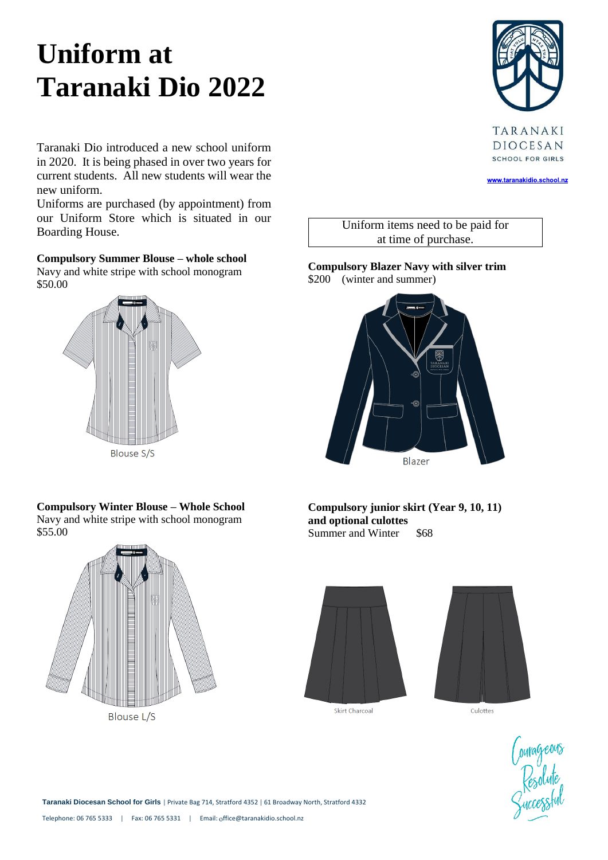# **Uniform at Taranaki Dio 2022**

TARANAKI DIOCESAN **SCHOOL FOR GIRLS** 

www.taranakidio.school.nz

Taranaki Dio introduced a new school uniform in 2020. It is being phased in over two years for current students. All new students will wear the new uniform.

Uniforms are purchased (by appointment) from our Uniform Store which is situated in our Boarding House.

**Compulsory Summer Blouse – whole school** Navy and white stripe with school monogram \$50.00



**Compulsory Winter Blouse – Whole School** Navy and white stripe with school monogram \$55.00



Uniform items need to be paid for at time of purchase.

**Compulsory Blazer Navy with silver trim** \$200 (winter and summer)



**Compulsory junior skirt (Year 9, 10, 11) and optional culottes** Summer and Winter \$68





Courageous<br>Resolute<br>Successful

**Taranaki Diocesan School for Girls** | Private Bag 714, Stratford 4352 | 61 Broadway North, Stratford 4332